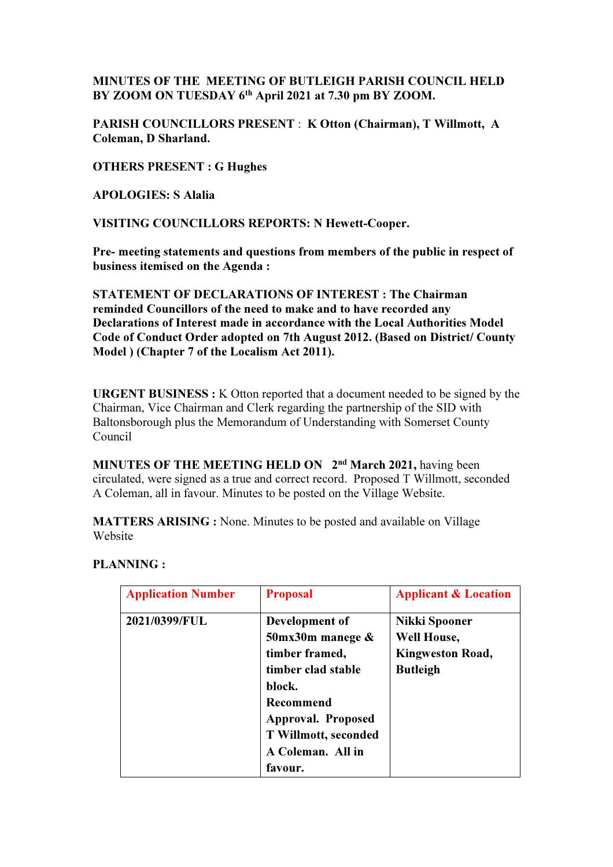## MINUTES OF THE MEETING OF BUTLEIGH PARISH COUNCIL HELD BY ZOOM ON TUESDAY 6th April 2021 at 7.30 pm BY ZOOM.

PARISH COUNCILLORS PRESENT : K Otton (Chairman), T Willmott, A Coleman, D Sharland.

OTHERS PRESENT : G Hughes

APOLOGIES: S Alalia

VISITING COUNCILLORS REPORTS: N Hewett-Cooper.

Pre- meeting statements and questions from members of the public in respect of business itemised on the Agenda :

STATEMENT OF DECLARATIONS OF INTEREST : The Chairman reminded Councillors of the need to make and to have recorded any Declarations of Interest made in accordance with the Local Authorities Model Code of Conduct Order adopted on 7th August 2012. (Based on District/ County Model ) (Chapter 7 of the Localism Act 2011).

URGENT BUSINESS : K Otton reported that a document needed to be signed by the Chairman, Vice Chairman and Clerk regarding the partnership of the SID with Baltonsborough plus the Memorandum of Understanding with Somerset County Council

MINUTES OF THE MEETING HELD ON 2<sup>nd</sup> March 2021, having been circulated, were signed as a true and correct record. Proposed T Willmott, seconded A Coleman, all in favour. Minutes to be posted on the Village Website.

MATTERS ARISING : None. Minutes to be posted and available on Village Website

#### PLANNING :

| <b>Application Number</b> | <b>Proposal</b>            | <b>Applicant &amp; Location</b> |
|---------------------------|----------------------------|---------------------------------|
| 2021/0399/FUL             | Development of             | Nikki Spooner                   |
|                           | $50$ mx $30$ m manege $\&$ | Well House,                     |
|                           | timber framed,             | <b>Kingweston Road,</b>         |
|                           | timber clad stable         | <b>Butleigh</b>                 |
|                           | block.                     |                                 |
|                           | Recommend                  |                                 |
|                           | <b>Approval. Proposed</b>  |                                 |
|                           | T Willmott, seconded       |                                 |
|                           | A Coleman. All in          |                                 |
|                           | favour.                    |                                 |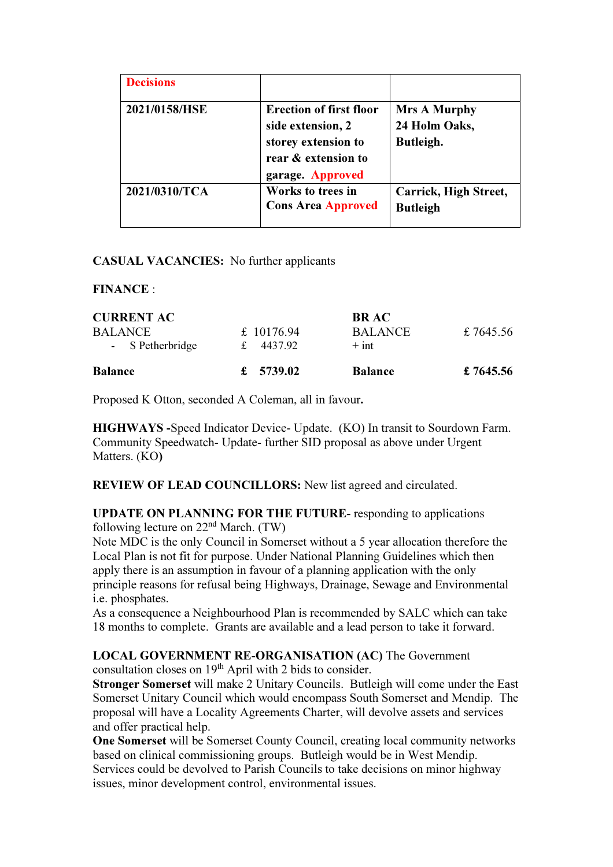| <b>Decisions</b> |                                                                                                                       |                                                   |
|------------------|-----------------------------------------------------------------------------------------------------------------------|---------------------------------------------------|
| 2021/0158/HSE    | <b>Erection of first floor</b><br>side extension, 2<br>storey extension to<br>rear & extension to<br>garage. Approved | <b>Mrs A Murphy</b><br>24 Holm Oaks,<br>Butleigh. |
| 2021/0310/TCA    | Works to trees in<br><b>Cons Area Approved</b>                                                                        | Carrick, High Street,<br><b>Butleigh</b>          |

#### CASUAL VACANCIES: No further applicants

## FINANCE :

| <b>CURRENT AC</b> |            | <b>BRAC</b>    |           |
|-------------------|------------|----------------|-----------|
| BALANCE.          | £ 10176.94 | BALANCE.       | £7645.56  |
| - S Petherbridge  | 4437.92    | $+$ int        |           |
| <b>Balance</b>    | £ 5739.02  | <b>Balance</b> | £ 7645.56 |

Proposed K Otton, seconded A Coleman, all in favour.

HIGHWAYS -Speed Indicator Device- Update. (KO) In transit to Sourdown Farm. Community Speedwatch- Update- further SID proposal as above under Urgent Matters. (KO)

REVIEW OF LEAD COUNCILLORS: New list agreed and circulated.

UPDATE ON PLANNING FOR THE FUTURE- responding to applications following lecture on  $22<sup>nd</sup>$  March. (TW)

Note MDC is the only Council in Somerset without a 5 year allocation therefore the Local Plan is not fit for purpose. Under National Planning Guidelines which then apply there is an assumption in favour of a planning application with the only principle reasons for refusal being Highways, Drainage, Sewage and Environmental i.e. phosphates.

As a consequence a Neighbourhood Plan is recommended by SALC which can take 18 months to complete. Grants are available and a lead person to take it forward.

## LOCAL GOVERNMENT RE-ORGANISATION (AC) The Government

consultation closes on 19th April with 2 bids to consider.

Stronger Somerset will make 2 Unitary Councils. Butleigh will come under the East Somerset Unitary Council which would encompass South Somerset and Mendip. The proposal will have a Locality Agreements Charter, will devolve assets and services and offer practical help.

One Somerset will be Somerset County Council, creating local community networks based on clinical commissioning groups. Butleigh would be in West Mendip. Services could be devolved to Parish Councils to take decisions on minor highway issues, minor development control, environmental issues.